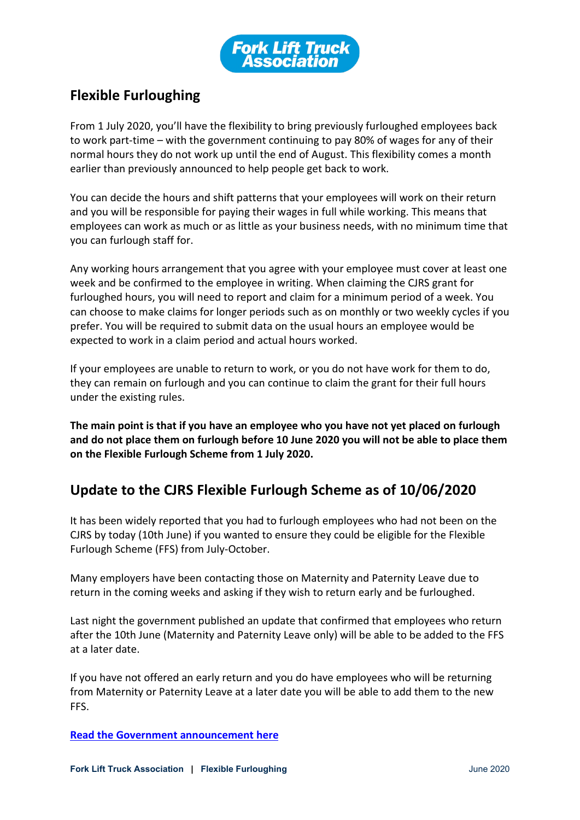

## **Flexible Furloughing**

From 1 July 2020, you'll have the flexibility to bring previously furloughed employees back to work part-time – with the government continuing to pay 80% of wages for any of their normal hours they do not work up until the end of August. This flexibility comes a month earlier than previously announced to help people get back to work.

You can decide the hours and shift patterns that your employees will work on their return and you will be responsible for paying their wages in full while working. This means that employees can work as much or as little as your business needs, with no minimum time that you can furlough staff for.

Any working hours arrangement that you agree with your employee must cover at least one week and be confirmed to the employee in writing. When claiming the CJRS grant for furloughed hours, you will need to report and claim for a minimum period of a week. You can choose to make claims for longer periods such as on monthly or two weekly cycles if you prefer. You will be required to submit data on the usual hours an employee would be expected to work in a claim period and actual hours worked.

If your employees are unable to return to work, or you do not have work for them to do, they can remain on furlough and you can continue to claim the grant for their full hours under the existing rules.

**The main point is that if you have an employee who you have not yet placed on furlough and do not place them on furlough before 10 June 2020 you will not be able to place them on the Flexible Furlough Scheme from 1 July 2020.**

## **Update to the CJRS Flexible Furlough Scheme as of 10/06/2020**

It has been widely reported that you had to furlough employees who had not been on the CJRS by today (10th June) if you wanted to ensure they could be eligible for the Flexible Furlough Scheme (FFS) from July-October.

Many employers have been contacting those on Maternity and Paternity Leave due to return in the coming weeks and asking if they wish to return early and be furloughed.

Last night the government published an update that confirmed that employees who return after the 10th June (Maternity and Paternity Leave only) will be able to be added to the FFS at a later date.

If you have not offered an early return and you do have employees who will be returning from Maternity or Paternity Leave at a later date you will be able to add them to the new FFS.

**[Read the Government announcement](https://www.gov.uk/government/news/parents-returning-to-work-after-extended-leave-eligible-for-furlough?utm_source=55d26224-7200-4eed-b333-f3c4f11ce1f9&utm_medium=email&utm_campaign=govuk-notifications&utm_content=immediate&fbclid=IwAR27coC5thEtVCaZ82YtovKA-C3mBXFIJoUKJOcKcPXGz5brp5gQKrQ3kxA) here**